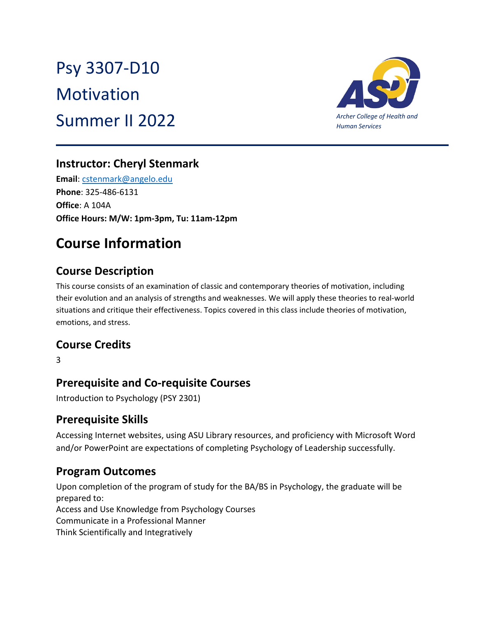# Psy 3307‐D10 **Motivation** Summer II 2022 *Archer College of Health and*



## **Instructor: Cheryl Stenmark**

**Email**: cstenmark@angelo.edu **Phone**: 325‐486‐6131 **Office**: A 104A **Office Hours: M/W: 1pm‐3pm, Tu: 11am‐12pm**

## **Course Information**

## **Course Description**

This course consists of an examination of classic and contemporary theories of motivation, including their evolution and an analysis of strengths and weaknesses. We will apply these theories to real‐world situations and critique their effectiveness. Topics covered in this class include theories of motivation, emotions, and stress.

## **Course Credits**

3

## **Prerequisite and Co‐requisite Courses**

Introduction to Psychology (PSY 2301)

### **Prerequisite Skills**

Accessing Internet websites, using ASU Library resources, and proficiency with Microsoft Word and/or PowerPoint are expectations of completing Psychology of Leadership successfully.

### **Program Outcomes**

Upon completion of the program of study for the BA/BS in Psychology, the graduate will be prepared to: Access and Use Knowledge from Psychology Courses Communicate in a Professional Manner Think Scientifically and Integratively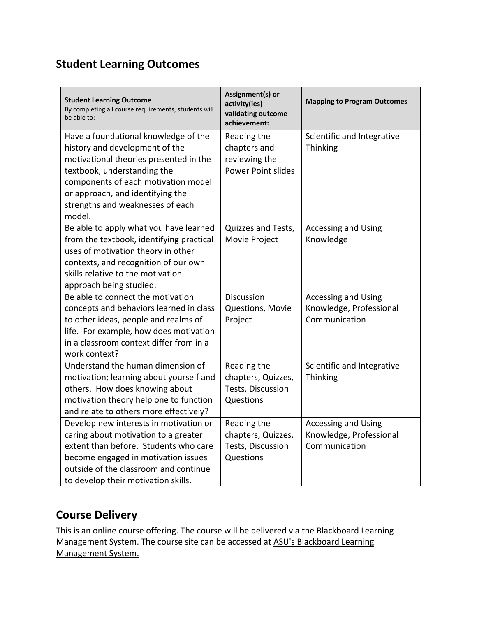## **Student Learning Outcomes**

| <b>Student Learning Outcome</b><br>By completing all course requirements, students will<br>be able to:                                                                                                                                                                   | Assignment(s) or<br>activity(ies)<br>validating outcome<br>achievement:   | <b>Mapping to Program Outcomes</b>                                     |
|--------------------------------------------------------------------------------------------------------------------------------------------------------------------------------------------------------------------------------------------------------------------------|---------------------------------------------------------------------------|------------------------------------------------------------------------|
| Have a foundational knowledge of the<br>history and development of the<br>motivational theories presented in the<br>textbook, understanding the<br>components of each motivation model<br>or approach, and identifying the<br>strengths and weaknesses of each<br>model. | Reading the<br>chapters and<br>reviewing the<br><b>Power Point slides</b> | Scientific and Integrative<br>Thinking                                 |
| Be able to apply what you have learned<br>from the textbook, identifying practical<br>uses of motivation theory in other<br>contexts, and recognition of our own<br>skills relative to the motivation<br>approach being studied.                                         | Quizzes and Tests,<br>Movie Project                                       | <b>Accessing and Using</b><br>Knowledge                                |
| Be able to connect the motivation<br>concepts and behaviors learned in class<br>to other ideas, people and realms of<br>life. For example, how does motivation<br>in a classroom context differ from in a<br>work context?                                               | Discussion<br>Questions, Movie<br>Project                                 | <b>Accessing and Using</b><br>Knowledge, Professional<br>Communication |
| Understand the human dimension of<br>motivation; learning about yourself and<br>others. How does knowing about<br>motivation theory help one to function<br>and relate to others more effectively?                                                                       | Reading the<br>chapters, Quizzes,<br>Tests, Discussion<br>Questions       | Scientific and Integrative<br>Thinking                                 |
| Develop new interests in motivation or<br>caring about motivation to a greater<br>extent than before. Students who care<br>become engaged in motivation issues<br>outside of the classroom and continue<br>to develop their motivation skills.                           | Reading the<br>chapters, Quizzes,<br>Tests, Discussion<br>Questions       | <b>Accessing and Using</b><br>Knowledge, Professional<br>Communication |

### **Course Delivery**

This is an online course offering. The course will be delivered via the Blackboard Learning Management System. The course site can be accessed at ASU's Blackboard Learning Management System.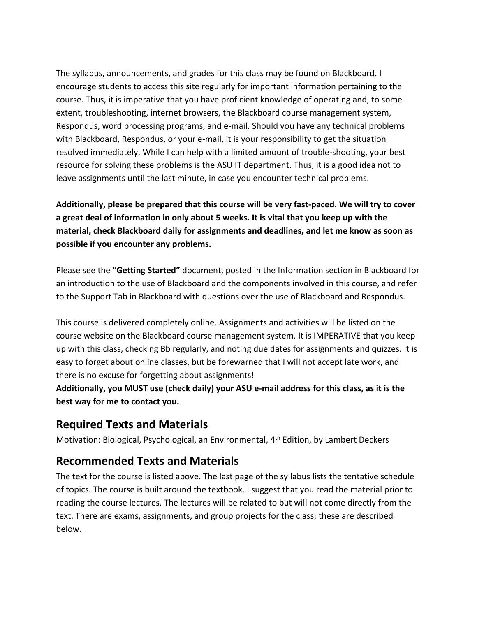The syllabus, announcements, and grades for this class may be found on Blackboard. I encourage students to access this site regularly for important information pertaining to the course. Thus, it is imperative that you have proficient knowledge of operating and, to some extent, troubleshooting, internet browsers, the Blackboard course management system, Respondus, word processing programs, and e‐mail. Should you have any technical problems with Blackboard, Respondus, or your e-mail, it is your responsibility to get the situation resolved immediately. While I can help with a limited amount of trouble‐shooting, your best resource for solving these problems is the ASU IT department. Thus, it is a good idea not to leave assignments until the last minute, in case you encounter technical problems.

**Additionally, please be prepared that this course will be very fast‐paced. We will try to cover a great deal of information in only about 5 weeks. It is vital that you keep up with the material, check Blackboard daily for assignments and deadlines, and let me know as soon as possible if you encounter any problems.**

Please see the **"Getting Started"** document, posted in the Information section in Blackboard for an introduction to the use of Blackboard and the components involved in this course, and refer to the Support Tab in Blackboard with questions over the use of Blackboard and Respondus.

This course is delivered completely online. Assignments and activities will be listed on the course website on the Blackboard course management system. It is IMPERATIVE that you keep up with this class, checking Bb regularly, and noting due dates for assignments and quizzes. It is easy to forget about online classes, but be forewarned that I will not accept late work, and there is no excuse for forgetting about assignments!

Additionally, you MUST use (check daily) your ASU e-mail address for this class, as it is the **best way for me to contact you.**

#### **Required Texts and Materials**

Motivation: Biological, Psychological, an Environmental, 4<sup>th</sup> Edition, by Lambert Deckers

#### **Recommended Texts and Materials**

The text for the course is listed above. The last page of the syllabus lists the tentative schedule of topics. The course is built around the textbook. I suggest that you read the material prior to reading the course lectures. The lectures will be related to but will not come directly from the text. There are exams, assignments, and group projects for the class; these are described below.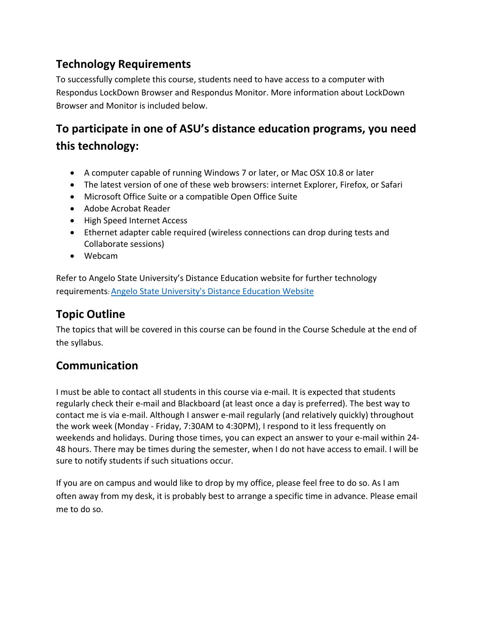## **Technology Requirements**

To successfully complete this course, students need to have access to a computer with Respondus LockDown Browser and Respondus Monitor. More information about LockDown Browser and Monitor is included below.

## **To participate in one of ASU's distance education programs, you need this technology:**

- A computer capable of running Windows 7 or later, or Mac OSX 10.8 or later
- The latest version of one of these web browsers: internet Explorer, Firefox, or Safari
- Microsoft Office Suite or a compatible Open Office Suite
- Adobe Acrobat Reader
- High Speed Internet Access
- Ethernet adapter cable required (wireless connections can drop during tests and Collaborate sessions)
- Webcam

Refer to Angelo State University's Distance Education website for further technology requirements*:* Angelo State University's Distance Education Website

## **Topic Outline**

The topics that will be covered in this course can be found in the Course Schedule at the end of the syllabus.

## **Communication**

I must be able to contact all students in this course via e‐mail. It is expected that students regularly check their e‐mail and Blackboard (at least once a day is preferred). The best way to contact me is via e‐mail. Although I answer e‐mail regularly (and relatively quickly) throughout the work week (Monday ‐ Friday, 7:30AM to 4:30PM), I respond to it less frequently on weekends and holidays. During those times, you can expect an answer to your e-mail within 24-48 hours. There may be times during the semester, when I do not have access to email. I will be sure to notify students if such situations occur.

If you are on campus and would like to drop by my office, please feel free to do so. As I am often away from my desk, it is probably best to arrange a specific time in advance. Please email me to do so.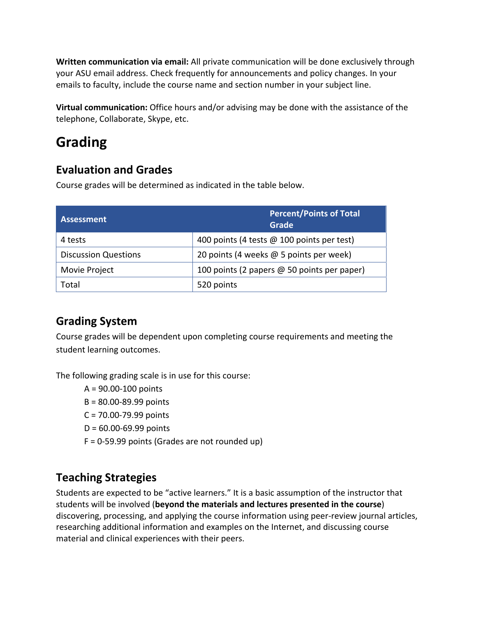**Written communication via email:** All private communication will be done exclusively through your ASU email address. Check frequently for announcements and policy changes. In your emails to faculty, include the course name and section number in your subject line.

**Virtual communication:** Office hours and/or advising may be done with the assistance of the telephone, Collaborate, Skype, etc.

## **Grading**

## **Evaluation and Grades**

Course grades will be determined as indicated in the table below.

| <b>Assessment</b>           | <b>Percent/Points of Total</b><br>Grade     |
|-----------------------------|---------------------------------------------|
| 4 tests                     | 400 points (4 tests @ 100 points per test)  |
| <b>Discussion Questions</b> | 20 points (4 weeks @ 5 points per week)     |
| Movie Project               | 100 points (2 papers @ 50 points per paper) |
| Total                       | 520 points                                  |

## **Grading System**

Course grades will be dependent upon completing course requirements and meeting the student learning outcomes.

The following grading scale is in use for this course:

A = 90.00‐100 points B = 80.00‐89.99 points C = 70.00‐79.99 points D = 60.00‐69.99 points F = 0‐59.99 points (Grades are not rounded up)

## **Teaching Strategies**

Students are expected to be "active learners." It is a basic assumption of the instructor that students will be involved (**beyond the materials and lectures presented in the course**) discovering, processing, and applying the course information using peer‐review journal articles, researching additional information and examples on the Internet, and discussing course material and clinical experiences with their peers.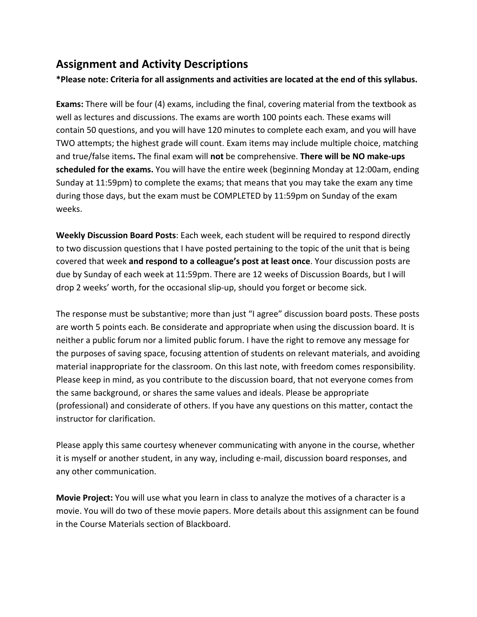#### **Assignment and Activity Descriptions**

#### **\*Please note: Criteria for all assignments and activities are located at the end of this syllabus.**

**Exams:** There will be four (4) exams, including the final, covering material from the textbook as well as lectures and discussions. The exams are worth 100 points each. These exams will contain 50 questions, and you will have 120 minutes to complete each exam, and you will have TWO attempts; the highest grade will count. Exam items may include multiple choice, matching and true/false items**.** The final exam will **not** be comprehensive. **There will be NO make‐ups scheduled for the exams.** You will have the entire week (beginning Monday at 12:00am, ending Sunday at 11:59pm) to complete the exams; that means that you may take the exam any time during those days, but the exam must be COMPLETED by 11:59pm on Sunday of the exam weeks.

**Weekly Discussion Board Posts**: Each week, each student will be required to respond directly to two discussion questions that I have posted pertaining to the topic of the unit that is being covered that week **and respond to a colleague's post at least once**. Your discussion posts are due by Sunday of each week at 11:59pm. There are 12 weeks of Discussion Boards, but I will drop 2 weeks' worth, for the occasional slip‐up, should you forget or become sick.

The response must be substantive; more than just "I agree" discussion board posts. These posts are worth 5 points each. Be considerate and appropriate when using the discussion board. It is neither a public forum nor a limited public forum. I have the right to remove any message for the purposes of saving space, focusing attention of students on relevant materials, and avoiding material inappropriate for the classroom. On this last note, with freedom comes responsibility. Please keep in mind, as you contribute to the discussion board, that not everyone comes from the same background, or shares the same values and ideals. Please be appropriate (professional) and considerate of others. If you have any questions on this matter, contact the instructor for clarification.

Please apply this same courtesy whenever communicating with anyone in the course, whether it is myself or another student, in any way, including e‐mail, discussion board responses, and any other communication.

**Movie Project:** You will use what you learn in class to analyze the motives of a character is a movie. You will do two of these movie papers. More details about this assignment can be found in the Course Materials section of Blackboard.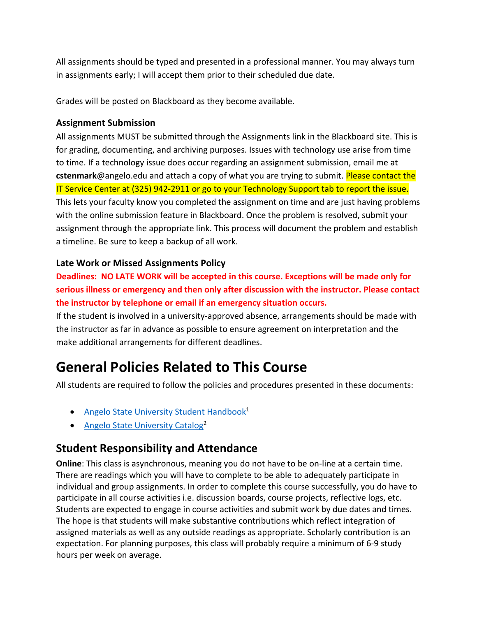All assignments should be typed and presented in a professional manner. You may always turn in assignments early; I will accept them prior to their scheduled due date.

Grades will be posted on Blackboard as they become available.

#### **Assignment Submission**

All assignments MUST be submitted through the Assignments link in the Blackboard site. This is for grading, documenting, and archiving purposes. Issues with technology use arise from time to time. If a technology issue does occur regarding an assignment submission, email me at **cstenmark**@angelo.edu and attach a copy of what you are trying to submit. Please contact the IT Service Center at (325) 942‐2911 or go to your Technology Support tab to report the issue. This lets your faculty know you completed the assignment on time and are just having problems with the online submission feature in Blackboard. Once the problem is resolved, submit your assignment through the appropriate link. This process will document the problem and establish a timeline. Be sure to keep a backup of all work.

#### **Late Work or Missed Assignments Policy**

**Deadlines: NO LATE WORK will be accepted in this course. Exceptions will be made only for serious illness or emergency and then only after discussion with the instructor. Please contact the instructor by telephone or email if an emergency situation occurs.** 

If the student is involved in a university‐approved absence, arrangements should be made with the instructor as far in advance as possible to ensure agreement on interpretation and the make additional arrangements for different deadlines.

## **General Policies Related to This Course**

All students are required to follow the policies and procedures presented in these documents:

- Angelo State University Student Handbook<sup>1</sup>
- Angelo State University Catalog<sup>2</sup>

#### **Student Responsibility and Attendance**

**Online**: This class is asynchronous, meaning you do not have to be on‐line at a certain time. There are readings which you will have to complete to be able to adequately participate in individual and group assignments. In order to complete this course successfully, you do have to participate in all course activities i.e. discussion boards, course projects, reflective logs, etc. Students are expected to engage in course activities and submit work by due dates and times. The hope is that students will make substantive contributions which reflect integration of assigned materials as well as any outside readings as appropriate. Scholarly contribution is an expectation. For planning purposes, this class will probably require a minimum of 6‐9 study hours per week on average.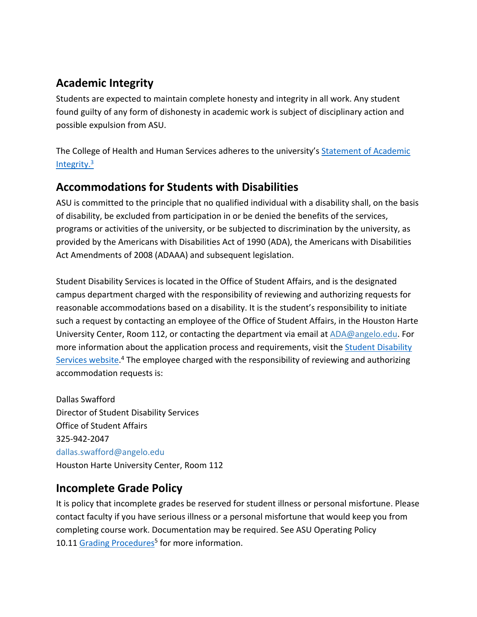## **Academic Integrity**

Students are expected to maintain complete honesty and integrity in all work. Any student found guilty of any form of dishonesty in academic work is subject of disciplinary action and possible expulsion from ASU.

The College of Health and Human Services adheres to the university's Statement of Academic Integrity.3

## **Accommodations for Students with Disabilities**

ASU is committed to the principle that no qualified individual with a disability shall, on the basis of disability, be excluded from participation in or be denied the benefits of the services, programs or activities of the university, or be subjected to discrimination by the university, as provided by the Americans with Disabilities Act of 1990 (ADA), the Americans with Disabilities Act Amendments of 2008 (ADAAA) and subsequent legislation.

Student Disability Services is located in the Office of Student Affairs, and is the designated campus department charged with the responsibility of reviewing and authorizing requests for reasonable accommodations based on a disability. It is the student's responsibility to initiate such a request by contacting an employee of the Office of Student Affairs, in the Houston Harte University Center, Room 112, or contacting the department via email at ADA@angelo.edu. For more information about the application process and requirements, visit the Student Disability Services website.<sup>4</sup> The employee charged with the responsibility of reviewing and authorizing accommodation requests is:

Dallas Swafford Director of Student Disability Services Office of Student Affairs 325‐942‐2047 dallas.swafford@angelo.edu Houston Harte University Center, Room 112

### **Incomplete Grade Policy**

It is policy that incomplete grades be reserved for student illness or personal misfortune. Please contact faculty if you have serious illness or a personal misfortune that would keep you from completing course work. Documentation may be required. See ASU Operating Policy 10.11 Grading Procedures<sup>5</sup> for more information.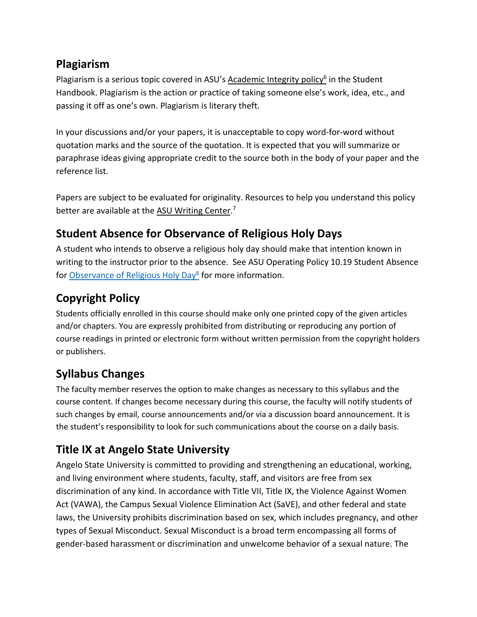### **Plagiarism**

Plagiarism is a serious topic covered in ASU's Academic Integrity policy<sup>6</sup> in the Student Handbook. Plagiarism is the action or practice of taking someone else's work, idea, etc., and passing it off as one's own. Plagiarism is literary theft.

In your discussions and/or your papers, it is unacceptable to copy word-for-word without quotation marks and the source of the quotation. It is expected that you will summarize or paraphrase ideas giving appropriate credit to the source both in the body of your paper and the reference list.

Papers are subject to be evaluated for originality. Resources to help you understand this policy better are available at the ASU Writing Center.<sup>7</sup>

## **Student Absence for Observance of Religious Holy Days**

A student who intends to observe a religious holy day should make that intention known in writing to the instructor prior to the absence. See ASU Operating Policy 10.19 Student Absence for Observance of Religious Holy Day<sup>8</sup> for more information.

## **Copyright Policy**

Students officially enrolled in this course should make only one printed copy of the given articles and/or chapters. You are expressly prohibited from distributing or reproducing any portion of course readings in printed or electronic form without written permission from the copyright holders or publishers.

## **Syllabus Changes**

The faculty member reserves the option to make changes as necessary to this syllabus and the course content. If changes become necessary during this course, the faculty will notify students of such changes by email, course announcements and/or via a discussion board announcement. It is the student's responsibility to look for such communications about the course on a daily basis.

## **Title IX at Angelo State University**

Angelo State University is committed to providing and strengthening an educational, working, and living environment where students, faculty, staff, and visitors are free from sex discrimination of any kind. In accordance with Title VII, Title IX, the Violence Against Women Act (VAWA), the Campus Sexual Violence Elimination Act (SaVE), and other federal and state laws, the University prohibits discrimination based on sex, which includes pregnancy, and other types of Sexual Misconduct. Sexual Misconduct is a broad term encompassing all forms of gender‐based harassment or discrimination and unwelcome behavior of a sexual nature. The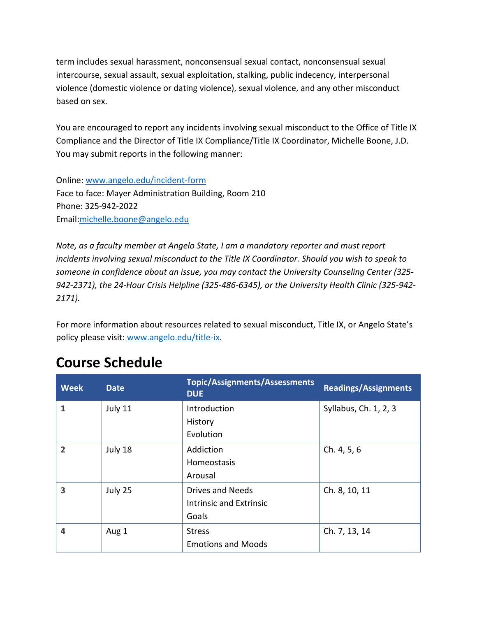term includes sexual harassment, nonconsensual sexual contact, nonconsensual sexual intercourse, sexual assault, sexual exploitation, stalking, public indecency, interpersonal violence (domestic violence or dating violence), sexual violence, and any other misconduct based on sex.

You are encouraged to report any incidents involving sexual misconduct to the Office of Title IX Compliance and the Director of Title IX Compliance/Title IX Coordinator, Michelle Boone, J.D. You may submit reports in the following manner:

Online: www.angelo.edu/incident‐form Face to face: Mayer Administration Building, Room 210 Phone: 325‐942‐2022 Email:michelle.boone@angelo.edu

*Note, as a faculty member at Angelo State, I am a mandatory reporter and must report incidents involving sexual misconduct to the Title IX Coordinator. Should you wish to speak to someone in confidence about an issue, you may contact the University Counseling Center (325‐* 942-2371), the 24-Hour Crisis Helpline (325-486-6345), or the University Health Clinic (325-942-*2171).*

For more information about resources related to sexual misconduct, Title IX, or Angelo State's policy please visit: www.angelo.edu/title‐ix.

| <b>Week</b>    | <b>Date</b> | Topic/Assignments/Assessments<br><b>DUE</b> | <b>Readings/Assignments</b> |
|----------------|-------------|---------------------------------------------|-----------------------------|
| 1              | July 11     | Introduction                                | Syllabus, Ch. 1, 2, 3       |
|                |             | History                                     |                             |
|                |             | Evolution                                   |                             |
| $\overline{2}$ | July 18     | Addiction                                   | Ch. 4, 5, 6                 |
|                |             | Homeostasis                                 |                             |
|                |             | Arousal                                     |                             |
| 3              | July 25     | <b>Drives and Needs</b>                     | Ch. 8, 10, 11               |
|                |             | <b>Intrinsic and Extrinsic</b>              |                             |
|                |             | Goals                                       |                             |
| 4              | Aug 1       | <b>Stress</b>                               | Ch. 7, 13, 14               |
|                |             | <b>Emotions and Moods</b>                   |                             |

## **Course Schedule**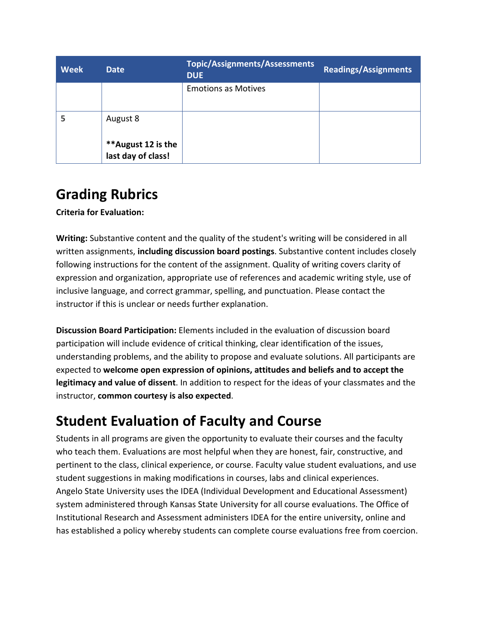| <b>Week</b> | <b>Date</b>                               | Topic/Assignments/Assessments<br><b>DUE</b> | <b>Readings/Assignments</b> |
|-------------|-------------------------------------------|---------------------------------------------|-----------------------------|
|             |                                           | <b>Emotions as Motives</b>                  |                             |
| 5           | August 8                                  |                                             |                             |
|             | ** August 12 is the<br>last day of class! |                                             |                             |

## **Grading Rubrics**

**Criteria for Evaluation:**

**Writing:** Substantive content and the quality of the student's writing will be considered in all written assignments, **including discussion board postings**. Substantive content includes closely following instructions for the content of the assignment. Quality of writing covers clarity of expression and organization, appropriate use of references and academic writing style, use of inclusive language, and correct grammar, spelling, and punctuation. Please contact the instructor if this is unclear or needs further explanation.

**Discussion Board Participation:** Elements included in the evaluation of discussion board participation will include evidence of critical thinking, clear identification of the issues, understanding problems, and the ability to propose and evaluate solutions. All participants are expected to **welcome open expression of opinions, attitudes and beliefs and to accept the legitimacy and value of dissent**. In addition to respect for the ideas of your classmates and the instructor, **common courtesy is also expected**.

## **Student Evaluation of Faculty and Course**

Students in all programs are given the opportunity to evaluate their courses and the faculty who teach them. Evaluations are most helpful when they are honest, fair, constructive, and pertinent to the class, clinical experience, or course. Faculty value student evaluations, and use student suggestions in making modifications in courses, labs and clinical experiences. Angelo State University uses the IDEA (Individual Development and Educational Assessment) system administered through Kansas State University for all course evaluations. The Office of Institutional Research and Assessment administers IDEA for the entire university, online and has established a policy whereby students can complete course evaluations free from coercion.